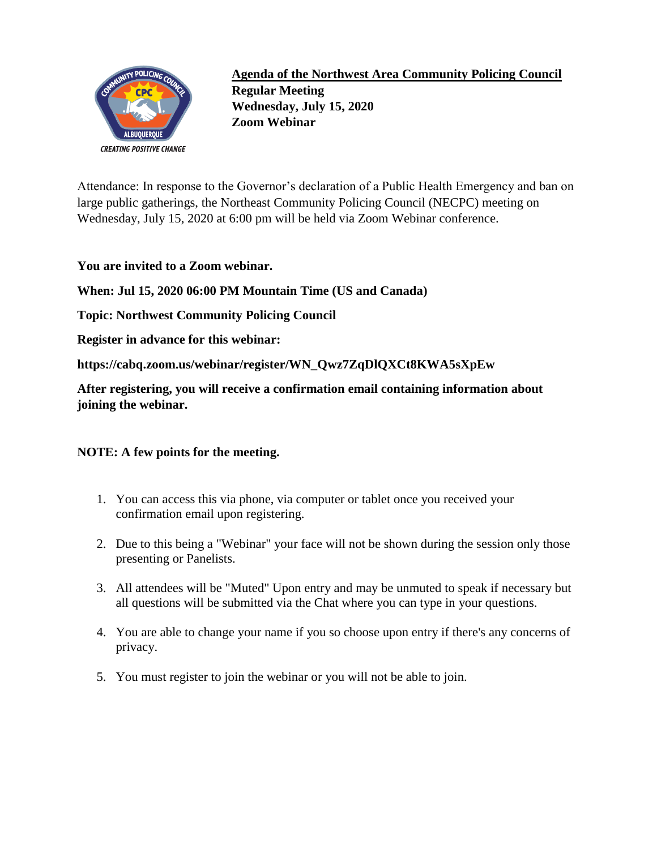

**Agenda of the Northwest Area Community Policing Council Regular Meeting Wednesday, July 15, 2020 Zoom Webinar**

Attendance: In response to the Governor's declaration of a Public Health Emergency and ban on large public gatherings, the Northeast Community Policing Council (NECPC) meeting on Wednesday, July 15, 2020 at 6:00 pm will be held via Zoom Webinar conference.

**You are invited to a Zoom webinar.** 

**When: Jul 15, 2020 06:00 PM Mountain Time (US and Canada)** 

**Topic: Northwest Community Policing Council** 

**Register in advance for this webinar:**

**https://cabq.zoom.us/webinar/register/WN\_Qwz7ZqDlQXCt8KWA5sXpEw** 

**After registering, you will receive a confirmation email containing information about joining the webinar.**

## **NOTE: A few points for the meeting.**

- 1. You can access this via phone, via computer or tablet once you received your confirmation email upon registering.
- 2. Due to this being a "Webinar" your face will not be shown during the session only those presenting or Panelists.
- 3. All attendees will be "Muted" Upon entry and may be unmuted to speak if necessary but all questions will be submitted via the Chat where you can type in your questions.
- 4. You are able to change your name if you so choose upon entry if there's any concerns of privacy.
- 5. You must register to join the webinar or you will not be able to join.